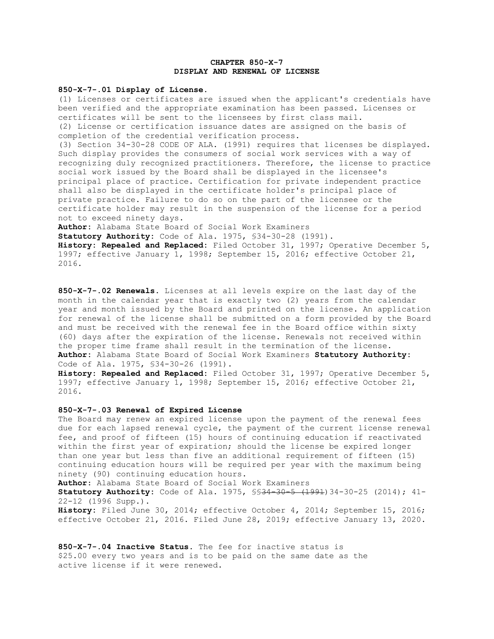## **CHAPTER 850-X-7 DISPLAY AND RENEWAL OF LICENSE**

## **850-X-7-.01 Display of License**.

(1) Licenses or certificates are issued when the applicant's credentials have been verified and the appropriate examination has been passed. Licenses or certificates will be sent to the licensees by first class mail. (2) License or certification issuance dates are assigned on the basis of completion of the credential verification process.

(3) Section 34-30-28 CODE OF ALA. (1991) requires that licenses be displayed. Such display provides the consumers of social work services with a way of recognizing duly recognized practitioners. Therefore, the license to practice social work issued by the Board shall be displayed in the licensee's principal place of practice. Certification for private independent practice shall also be displayed in the certificate holder's principal place of private practice. Failure to do so on the part of the licensee or the certificate holder may result in the suspension of the license for a period not to exceed ninety days.

**Author:** Alabama State Board of Social Work Examiners

**Statutory Authority:** Code of Ala. 1975, §34-30-28 (1991). **History: Repealed and Replaced:** Filed October 31, 1997; Operative December 5, 1997; effective January 1, 1998; September 15, 2016; effective October 21,

2016.

**850-X-7-.02 Renewals**. Licenses at all levels expire on the last day of the month in the calendar year that is exactly two (2) years from the calendar year and month issued by the Board and printed on the license. An application for renewal of the license shall be submitted on a form provided by the Board and must be received with the renewal fee in the Board office within sixty (60) days after the expiration of the license. Renewals not received within the proper time frame shall result in the termination of the license. **Author:** Alabama State Board of Social Work Examiners **Statutory Authority:**  Code of Ala. 1975, §34-30-26 (1991).

**History: Repealed and Replaced:** Filed October 31, 1997; Operative December 5, 1997; effective January 1, 1998; September 15, 2016; effective October 21, 2016.

## **850-X-7-.03 Renewal of Expired License**

The Board may renew an expired license upon the payment of the renewal fees due for each lapsed renewal cycle, the payment of the current license renewal fee, and proof of fifteen (15) hours of continuing education if reactivated within the first year of expiration; should the license be expired longer than one year but less than five an additional requirement of fifteen (15) continuing education hours will be required per year with the maximum being ninety (90) continuing education hours.

**Author**: Alabama State Board of Social Work Examiners

**Statutory Authority:** Code of Ala. 1975, §§34-30-5 (1991)34-30-25 (2014); 41- 22-12 (1996 Supp.).

**History:** Filed June 30, 2014; effective October 4, 2014; September 15, 2016; effective October 21, 2016. Filed June 28, 2019; effective January 13, 2020.

**850-X-7-.04 Inactive Status.** The fee for inactive status is \$25.00 every two years and is to be paid on the same date as the active license if it were renewed.